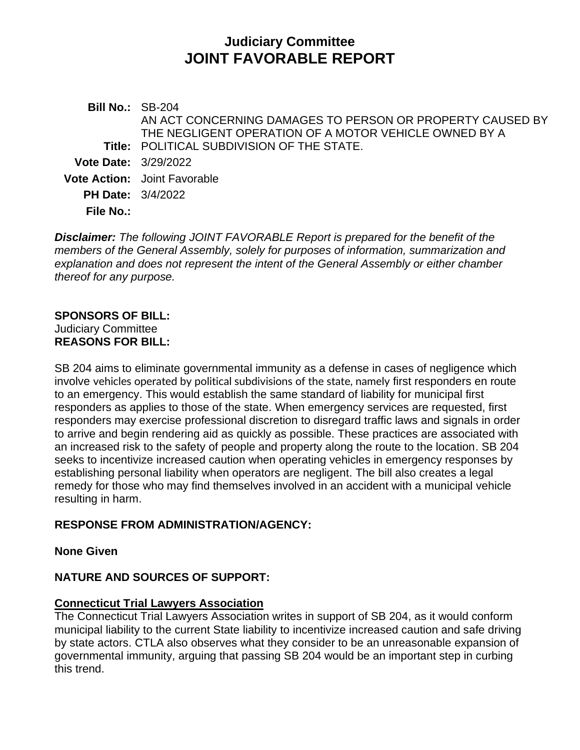## **Judiciary Committee JOINT FAVORABLE REPORT**

**Bill No.:** SB-204 **Title:** POLITICAL SUBDIVISION OF THE STATE. AN ACT CONCERNING DAMAGES TO PERSON OR PROPERTY CAUSED BY THE NEGLIGENT OPERATION OF A MOTOR VEHICLE OWNED BY A **Vote Date:** 3/29/2022 **Vote Action:** Joint Favorable **PH Date:** 3/4/2022 **File No.:**

*Disclaimer: The following JOINT FAVORABLE Report is prepared for the benefit of the members of the General Assembly, solely for purposes of information, summarization and explanation and does not represent the intent of the General Assembly or either chamber thereof for any purpose.*

# **SPONSORS OF BILL:**

Judiciary Committee **REASONS FOR BILL:**

SB 204 aims to eliminate governmental immunity as a defense in cases of negligence which involve vehicles operated by political subdivisions of the state, namely first responders en route to an emergency. This would establish the same standard of liability for municipal first responders as applies to those of the state. When emergency services are requested, first responders may exercise professional discretion to disregard traffic laws and signals in order to arrive and begin rendering aid as quickly as possible. These practices are associated with an increased risk to the safety of people and property along the route to the location. SB 204 seeks to incentivize increased caution when operating vehicles in emergency responses by establishing personal liability when operators are negligent. The bill also creates a legal remedy for those who may find themselves involved in an accident with a municipal vehicle resulting in harm.

## **RESPONSE FROM ADMINISTRATION/AGENCY:**

**None Given**

## **NATURE AND SOURCES OF SUPPORT:**

## **Connecticut Trial Lawyers Association**

The Connecticut Trial Lawyers Association writes in support of SB 204, as it would conform municipal liability to the current State liability to incentivize increased caution and safe driving by state actors. CTLA also observes what they consider to be an unreasonable expansion of governmental immunity, arguing that passing SB 204 would be an important step in curbing this trend.